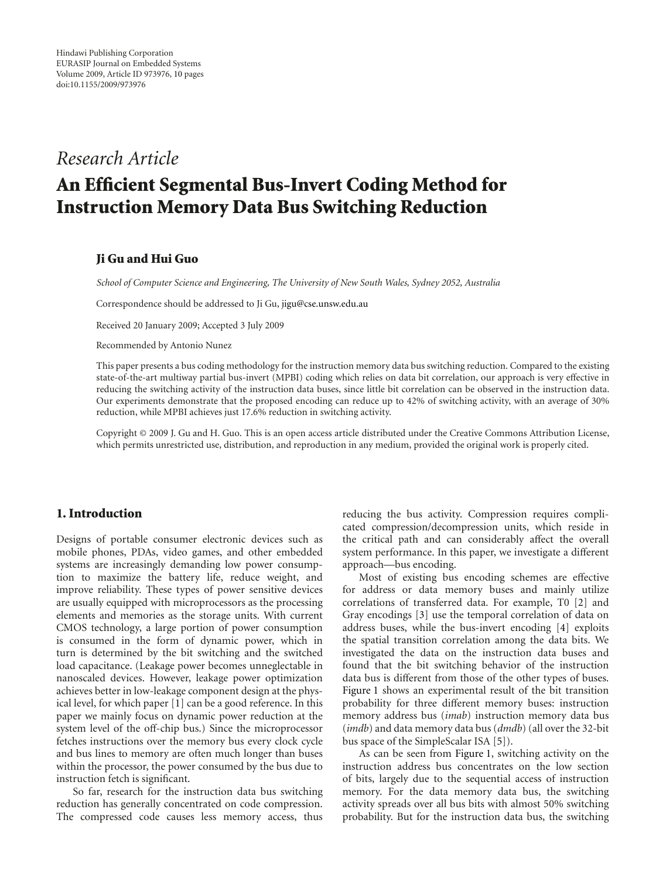# *Research Article*

# **An Efficient Segmental Bus-Invert Coding Method for Instruction Memory Data Bus Switching Reduction**

# **Ji Gu and Hui Guo**

*School of Computer Science and Engineering, The University of New South Wales, Sydney 2052, Australia*

Correspondence should be addressed to Ji Gu, jigu@cse.unsw.edu.au

Received 20 January 2009; Accepted 3 July 2009

Recommended by Antonio Nunez

This paper presents a bus coding methodology for the instruction memory data bus switching reduction. Compared to the existing state-of-the-art multiway partial bus-invert (MPBI) coding which relies on data bit correlation, our approach is very effective in reducing the switching activity of the instruction data buses, since little bit correlation can be observed in the instruction data. Our experiments demonstrate that the proposed encoding can reduce up to 42% of switching activity, with an average of 30% reduction, while MPBI achieves just 17.6% reduction in switching activity.

Copyright © 2009 J. Gu and H. Guo. This is an open access article distributed under the Creative Commons Attribution License, which permits unrestricted use, distribution, and reproduction in any medium, provided the original work is properly cited.

# **1. Introduction**

Designs of portable consumer electronic devices such as mobile phones, PDAs, video games, and other embedded systems are increasingly demanding low power consumption to maximize the battery life, reduce weight, and improve reliability. These types of power sensitive devices are usually equipped with microprocessors as the processing elements and memories as the storage units. With current CMOS technology, a large portion of power consumption is consumed in the form of dynamic power, which in turn is determined by the bit switching and the switched load capacitance. (Leakage power becomes unneglectable in nanoscaled devices. However, leakage power optimization achieves better in low-leakage component design at the physical level, for which paper [1] can be a good reference. In this paper we mainly focus on dynamic power reduction at the system level of the off-chip bus.) Since the microprocessor fetches instructions over the memory bus every clock cycle and bus lines to memory are often much longer than buses within the processor, the power consumed by the bus due to instruction fetch is significant.

So far, research for the instruction data bus switching reduction has generally concentrated on code compression. The compressed code causes less memory access, thus

reducing the bus activity. Compression requires complicated compression/decompression units, which reside in the critical path and can considerably affect the overall system performance. In this paper, we investigate a different approach—bus encoding.

Most of existing bus encoding schemes are effective for address or data memory buses and mainly utilize correlations of transferred data. For example, T0 [2] and Gray encodings [3] use the temporal correlation of data on address buses, while the bus-invert encoding [4] exploits the spatial transition correlation among the data bits. We investigated the data on the instruction data buses and found that the bit switching behavior of the instruction data bus is different from those of the other types of buses. Figure 1 shows an experimental result of the bit transition probability for three different memory buses: instruction memory address bus (*imab*) instruction memory data bus (*imdb*) and data memory data bus (*dmdb*) (all over the 32-bit bus space of the SimpleScalar ISA [5]).

As can be seen from Figure 1, switching activity on the instruction address bus concentrates on the low section of bits, largely due to the sequential access of instruction memory. For the data memory data bus, the switching activity spreads over all bus bits with almost 50% switching probability. But for the instruction data bus, the switching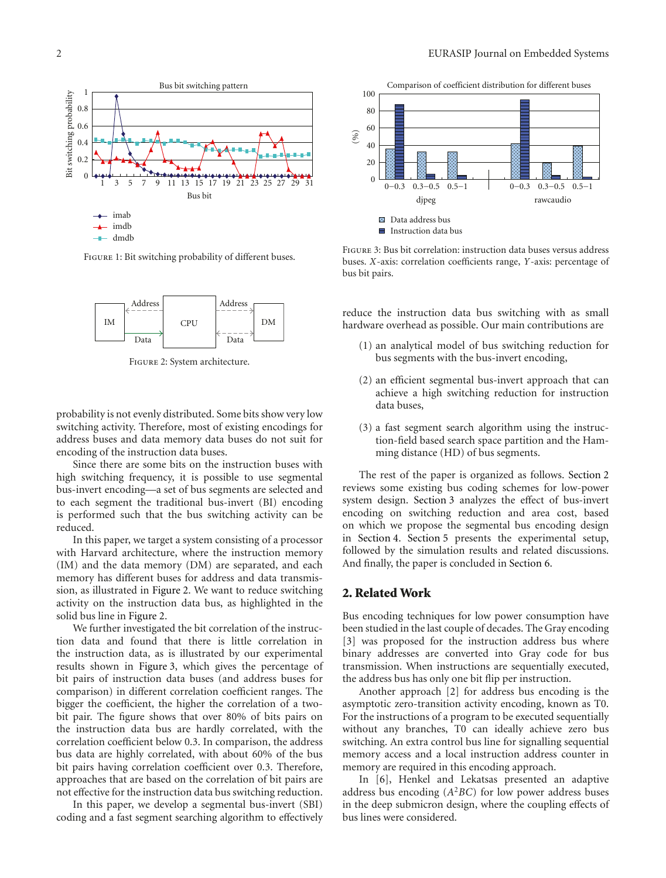

FIGURE 1: Bit switching probability of different buses.



Figure 2: System architecture.

probability is not evenly distributed. Some bits show very low switching activity. Therefore, most of existing encodings for address buses and data memory data buses do not suit for encoding of the instruction data buses.

Since there are some bits on the instruction buses with high switching frequency, it is possible to use segmental bus-invert encoding—a set of bus segments are selected and to each segment the traditional bus-invert (BI) encoding is performed such that the bus switching activity can be reduced.

In this paper, we target a system consisting of a processor with Harvard architecture, where the instruction memory (IM) and the data memory (DM) are separated, and each memory has different buses for address and data transmission, as illustrated in Figure 2. We want to reduce switching activity on the instruction data bus, as highlighted in the solid bus line in Figure 2.

We further investigated the bit correlation of the instruction data and found that there is little correlation in the instruction data, as is illustrated by our experimental results shown in Figure 3, which gives the percentage of bit pairs of instruction data buses (and address buses for comparison) in different correlation coefficient ranges. The bigger the coefficient, the higher the correlation of a twobit pair. The figure shows that over 80% of bits pairs on the instruction data bus are hardly correlated, with the correlation coefficient below 0.3. In comparison, the address bus data are highly correlated, with about 60% of the bus bit pairs having correlation coefficient over 0.3. Therefore, approaches that are based on the correlation of bit pairs are not effective for the instruction data bus switching reduction.

In this paper, we develop a segmental bus-invert (SBI) coding and a fast segment searching algorithm to effectively

Comparison of coefficient distribution for different buses



Figure 3: Bus bit correlation: instruction data buses versus address buses. *X*-axis: correlation coefficients range, *Y*-axis: percentage of bus bit pairs.

reduce the instruction data bus switching with as small hardware overhead as possible. Our main contributions are

- (1) an analytical model of bus switching reduction for bus segments with the bus-invert encoding,
- (2) an efficient segmental bus-invert approach that can achieve a high switching reduction for instruction data buses,
- (3) a fast segment search algorithm using the instruction-field based search space partition and the Hamming distance (HD) of bus segments.

The rest of the paper is organized as follows. Section 2 reviews some existing bus coding schemes for low-power system design. Section 3 analyzes the effect of bus-invert encoding on switching reduction and area cost, based on which we propose the segmental bus encoding design in Section 4. Section 5 presents the experimental setup, followed by the simulation results and related discussions. And finally, the paper is concluded in Section 6.

# **2. Related Work**

Bus encoding techniques for low power consumption have been studied in the last couple of decades. The Gray encoding [3] was proposed for the instruction address bus where binary addresses are converted into Gray code for bus transmission. When instructions are sequentially executed, the address bus has only one bit flip per instruction.

Another approach [2] for address bus encoding is the asymptotic zero-transition activity encoding, known as T0. For the instructions of a program to be executed sequentially without any branches, T0 can ideally achieve zero bus switching. An extra control bus line for signalling sequential memory access and a local instruction address counter in memory are required in this encoding approach.

In [6], Henkel and Lekatsas presented an adaptive address bus encoding  $(A^2BC)$  for low power address buses in the deep submicron design, where the coupling effects of bus lines were considered.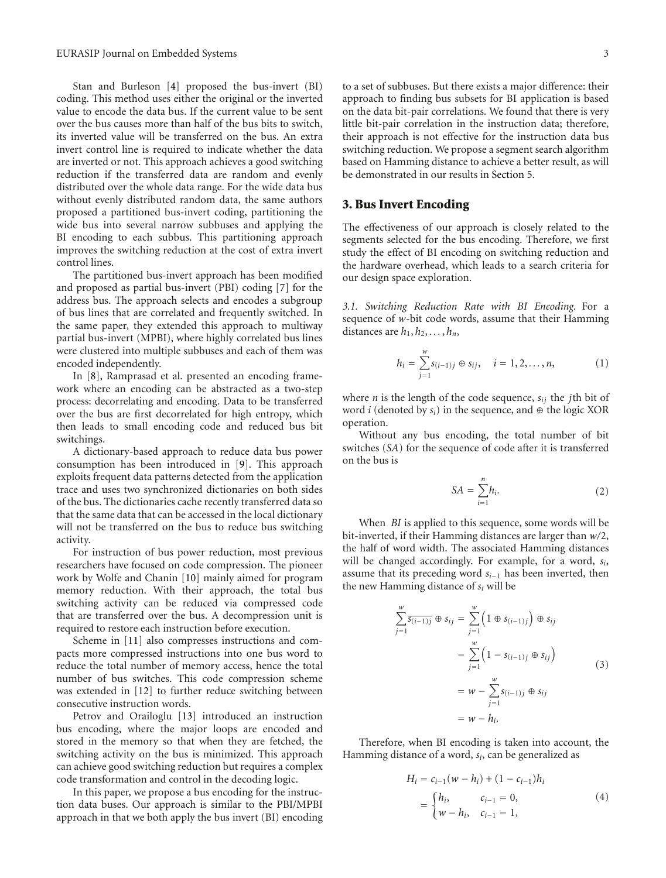Stan and Burleson [4] proposed the bus-invert (BI) coding. This method uses either the original or the inverted value to encode the data bus. If the current value to be sent over the bus causes more than half of the bus bits to switch, its inverted value will be transferred on the bus. An extra invert control line is required to indicate whether the data are inverted or not. This approach achieves a good switching reduction if the transferred data are random and evenly distributed over the whole data range. For the wide data bus without evenly distributed random data, the same authors proposed a partitioned bus-invert coding, partitioning the wide bus into several narrow subbuses and applying the BI encoding to each subbus. This partitioning approach improves the switching reduction at the cost of extra invert control lines.

The partitioned bus-invert approach has been modified and proposed as partial bus-invert (PBI) coding [7] for the address bus. The approach selects and encodes a subgroup of bus lines that are correlated and frequently switched. In the same paper, they extended this approach to multiway partial bus-invert (MPBI), where highly correlated bus lines were clustered into multiple subbuses and each of them was encoded independently.

In [8], Ramprasad et al. presented an encoding framework where an encoding can be abstracted as a two-step process: decorrelating and encoding. Data to be transferred over the bus are first decorrelated for high entropy, which then leads to small encoding code and reduced bus bit switchings.

A dictionary-based approach to reduce data bus power consumption has been introduced in [9]. This approach exploits frequent data patterns detected from the application trace and uses two synchronized dictionaries on both sides of the bus. The dictionaries cache recently transferred data so that the same data that can be accessed in the local dictionary will not be transferred on the bus to reduce bus switching activity.

For instruction of bus power reduction, most previous researchers have focused on code compression. The pioneer work by Wolfe and Chanin [10] mainly aimed for program memory reduction. With their approach, the total bus switching activity can be reduced via compressed code that are transferred over the bus. A decompression unit is required to restore each instruction before execution.

Scheme in [11] also compresses instructions and compacts more compressed instructions into one bus word to reduce the total number of memory access, hence the total number of bus switches. This code compression scheme was extended in [12] to further reduce switching between consecutive instruction words.

Petrov and Orailoglu [13] introduced an instruction bus encoding, where the major loops are encoded and stored in the memory so that when they are fetched, the switching activity on the bus is minimized. This approach can achieve good switching reduction but requires a complex code transformation and control in the decoding logic.

In this paper, we propose a bus encoding for the instruction data buses. Our approach is similar to the PBI/MPBI approach in that we both apply the bus invert (BI) encoding to a set of subbuses. But there exists a major difference: their approach to finding bus subsets for BI application is based on the data bit-pair correlations. We found that there is very little bit-pair correlation in the instruction data; therefore, their approach is not effective for the instruction data bus switching reduction. We propose a segment search algorithm based on Hamming distance to achieve a better result, as will be demonstrated in our results in Section 5.

#### **3. Bus Invert Encoding**

The effectiveness of our approach is closely related to the segments selected for the bus encoding. Therefore, we first study the effect of BI encoding on switching reduction and the hardware overhead, which leads to a search criteria for our design space exploration.

*3.1. Switching Reduction Rate with BI Encoding.* For a sequence of *w*-bit code words, assume that their Hamming distances are  $h_1, h_2, \ldots, h_n$ ,

$$
h_i = \sum_{j=1}^{w} s_{(i-1)j} \oplus s_{ij}, \quad i = 1, 2, ..., n,
$$
 (1)

where *n* is the length of the code sequence, *sij* the *j*th bit of word *i* (denoted by  $s_i$ ) in the sequence, and  $\oplus$  the logic XOR operation.

Without any bus encoding, the total number of bit switches (*SA*) for the sequence of code after it is transferred on the bus is

$$
SA = \sum_{i=1}^{n} h_i.
$$
 (2)

When *BI* is applied to this sequence, some words will be bit-inverted, if their Hamming distances are larger than *w/*2, the half of word width. The associated Hamming distances will be changed accordingly. For example, for a word, *si*, assume that its preceding word *si*−<sup>1</sup> has been inverted, then the new Hamming distance of *si* will be

$$
\sum_{j=1}^{w} \overline{s_{(i-1)j}} \oplus s_{ij} = \sum_{j=1}^{w} \left(1 \oplus s_{(i-1)j}\right) \oplus s_{ij}
$$

$$
= \sum_{j=1}^{w} \left(1 - s_{(i-1)j} \oplus s_{ij}\right)
$$

$$
= w - \sum_{j=1}^{w} s_{(i-1)j} \oplus s_{ij}
$$

$$
= w - h_i.
$$
(3)

Therefore, when BI encoding is taken into account, the Hamming distance of a word, *si*, can be generalized as

$$
H_i = c_{i-1}(w - h_i) + (1 - c_{i-1})h_i
$$
  
= 
$$
\begin{cases} h_i, & c_{i-1} = 0, \\ w - h_i, & c_{i-1} = 1, \end{cases}
$$
 (4)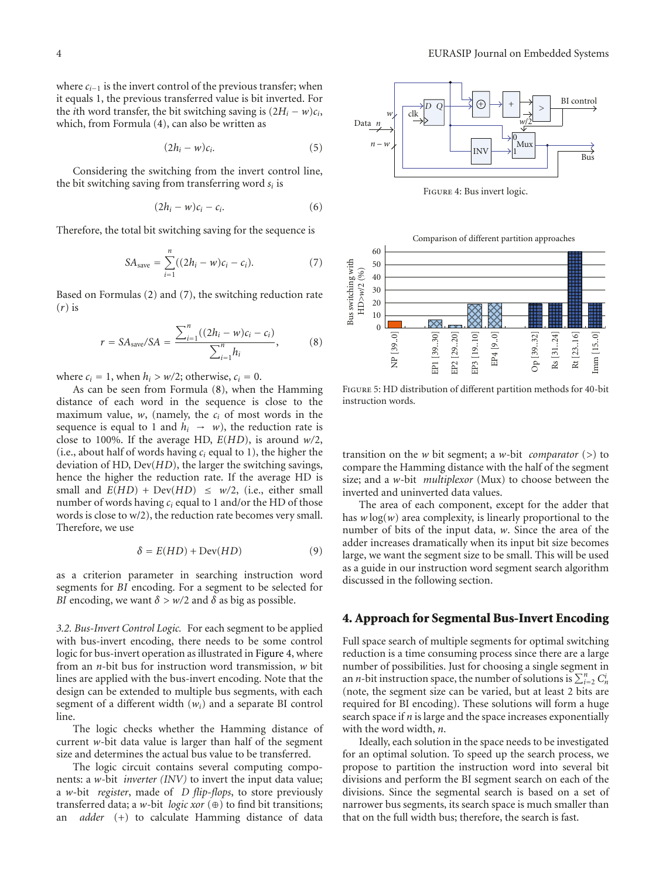where *c*<sub>*i*−1</sub> is the invert control of the previous transfer; when it equals 1, the previous transferred value is bit inverted. For the *i*th word transfer, the bit switching saving is  $(2H_i - w)c_i$ , which, from Formula (4), can also be written as

$$
(2h_i - w)c_i. \t\t(5)
$$

Considering the switching from the invert control line, the bit switching saving from transferring word *si* is

$$
(2h_i - w)c_i - c_i.
$$
 (6)

Therefore, the total bit switching saving for the sequence is

$$
SA_{\text{save}} = \sum_{i=1}^{n} ((2h_i - w)c_i - c_i). \tag{7}
$$

Based on Formulas (2) and (7), the switching reduction rate (*r*) is

$$
r = SA_{\text{save}}/SA = \frac{\sum_{i=1}^{n} ((2h_i - w)c_i - c_i)}{\sum_{i=1}^{n} h_i},
$$
 (8)

where  $c_i = 1$ , when  $h_i > w/2$ ; otherwise,  $c_i = 0$ .

As can be seen from Formula (8), when the Hamming distance of each word in the sequence is close to the maximum value, *w*, (namely, the *ci* of most words in the sequence is equal to 1 and  $h_i \rightarrow w$ , the reduction rate is close to 100%. If the average HD, *E*(*HD*), is around *w/*2, (i.e., about half of words having *ci* equal to 1), the higher the deviation of HD, Dev(*HD*), the larger the switching savings, hence the higher the reduction rate. If the average HD is small and  $E(HD) + Dev(HD) \leq w/2$ , (i.e., either small number of words having *ci* equal to 1 and/or the HD of those words is close to w/2), the reduction rate becomes very small. Therefore, we use

$$
\delta = E(HD) + \text{Dev}(HD) \tag{9}
$$

as a criterion parameter in searching instruction word segments for *BI* encoding. For a segment to be selected for *BI* encoding, we want  $\delta$  >  $w/2$  and  $\delta$  as big as possible.

*3.2. Bus-Invert Control Logic.* For each segment to be applied with bus-invert encoding, there needs to be some control logic for bus-invert operation as illustrated in Figure 4, where from an *n*-bit bus for instruction word transmission, *w* bit lines are applied with the bus-invert encoding. Note that the design can be extended to multiple bus segments, with each segment of a different width (*wi*) and a separate BI control line.

The logic checks whether the Hamming distance of current *w*-bit data value is larger than half of the segment size and determines the actual bus value to be transferred.

The logic circuit contains several computing components: a *w*-bit *inverter (INV)* to invert the input data value; a *w*-bit *register*, made of *D flip-flops*, to store previously transferred data; a *<sup>w</sup>*-bit *logic xor* (⊕) to find bit transitions; *adder* (+) to calculate Hamming distance of data



Figure 4: Bus invert logic.

Comparison of different partition approaches



Figure 5: HD distribution of different partition methods for 40-bit instruction words.

transition on the *w* bit segment; a *w*-bit *comparator* (*>*) to compare the Hamming distance with the half of the segment size; and a *w*-bit *multiplexor* (Mux) to choose between the inverted and uninverted data values.

The area of each component, except for the adder that has *w* log(*w*) area complexity, is linearly proportional to the number of bits of the input data, *w*. Since the area of the adder increases dramatically when its input bit size becomes large, we want the segment size to be small. This will be used as a guide in our instruction word segment search algorithm discussed in the following section.

#### **4. Approach for Segmental Bus-Invert Encoding**

Full space search of multiple segments for optimal switching reduction is a time consuming process since there are a large number of possibilities. Just for choosing a single segment in an *n*-bit instruction space, the number of solutions is  $\sum_{i=2}^{n} C_n^i$ (note, the segment size can be varied, but at least 2 bits are required for BI encoding). These solutions will form a huge search space if *n* is large and the space increases exponentially with the word width, *n*.

Ideally, each solution in the space needs to be investigated for an optimal solution. To speed up the search process, we propose to partition the instruction word into several bit divisions and perform the BI segment search on each of the divisions. Since the segmental search is based on a set of narrower bus segments, its search space is much smaller than that on the full width bus; therefore, the search is fast.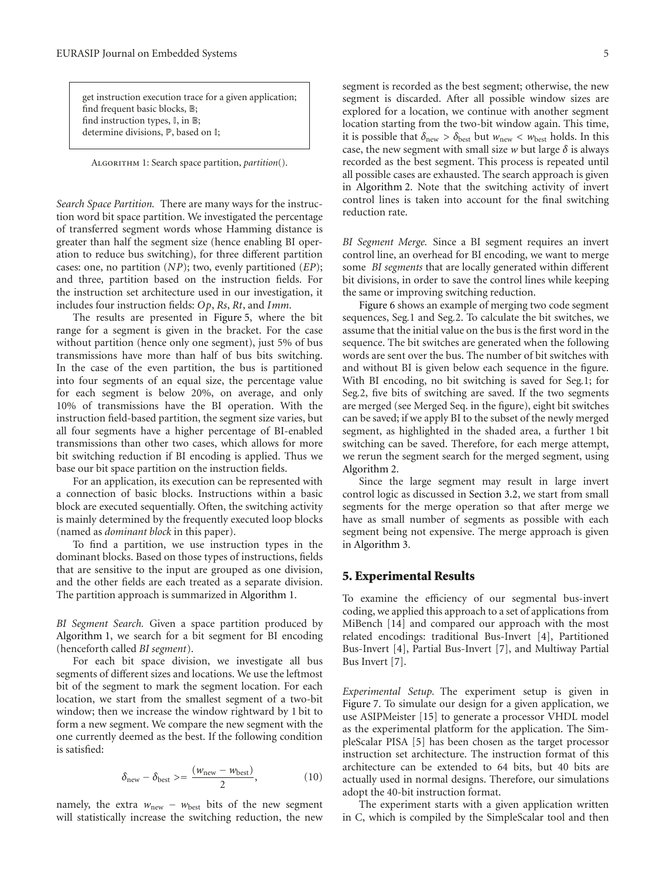get instruction execution trace for a given application; find frequent basic blocks,  $\mathbb{B}$ ; find instruction types,  $\mathbb{I}$ , in  $\mathbb{B}$ ; determine divisions, P, based on I;

Algorithm 1: Search space partition, *partition*().

*Search Space Partition.* There are many ways for the instruction word bit space partition. We investigated the percentage of transferred segment words whose Hamming distance is greater than half the segment size (hence enabling BI operation to reduce bus switching), for three different partition cases: one, no partition (*NP*); two, evenly partitioned (*EP*); and three, partition based on the instruction fields. For the instruction set architecture used in our investigation, it includes four instruction fields: *Op*, *Rs*, *Rt*, and *Imm*.

The results are presented in Figure 5, where the bit range for a segment is given in the bracket. For the case without partition (hence only one segment), just 5% of bus transmissions have more than half of bus bits switching. In the case of the even partition, the bus is partitioned into four segments of an equal size, the percentage value for each segment is below 20%, on average, and only 10% of transmissions have the BI operation. With the instruction field-based partition, the segment size varies, but all four segments have a higher percentage of BI-enabled transmissions than other two cases, which allows for more bit switching reduction if BI encoding is applied. Thus we base our bit space partition on the instruction fields.

For an application, its execution can be represented with a connection of basic blocks. Instructions within a basic block are executed sequentially. Often, the switching activity is mainly determined by the frequently executed loop blocks (named as *dominant block* in this paper).

To find a partition, we use instruction types in the dominant blocks. Based on those types of instructions, fields that are sensitive to the input are grouped as one division, and the other fields are each treated as a separate division. The partition approach is summarized in Algorithm 1.

*BI Segment Search.* Given a space partition produced by Algorithm 1, we search for a bit segment for BI encoding (henceforth called *BI segment*).

For each bit space division, we investigate all bus segments of different sizes and locations. We use the leftmost bit of the segment to mark the segment location. For each location, we start from the smallest segment of a two-bit window; then we increase the window rightward by 1 bit to form a new segment. We compare the new segment with the one currently deemed as the best. If the following condition is satisfied:

$$
\delta_{\text{new}} - \delta_{\text{best}} > = \frac{(w_{\text{new}} - w_{\text{best}})}{2},\tag{10}
$$

namely, the extra  $w_{\text{new}} - w_{\text{best}}$  bits of the new segment will statistically increase the switching reduction, the new

segment is recorded as the best segment; otherwise, the new segment is discarded. After all possible window sizes are explored for a location, we continue with another segment location starting from the two-bit window again. This time, it is possible that  $\delta_{\text{new}} > \delta_{\text{best}}$  but  $w_{\text{new}} < w_{\text{best}}$  holds. In this case, the new segment with small size  $w$  but large  $\delta$  is always recorded as the best segment. This process is repeated until all possible cases are exhausted. The search approach is given in Algorithm 2. Note that the switching activity of invert control lines is taken into account for the final switching reduction rate.

*BI Segment Merge.* Since a BI segment requires an invert control line, an overhead for BI encoding, we want to merge some *BI segments* that are locally generated within different bit divisions, in order to save the control lines while keeping the same or improving switching reduction.

Figure 6 shows an example of merging two code segment sequences, Seg*.*1 and Seg*.*2. To calculate the bit switches, we assume that the initial value on the bus is the first word in the sequence. The bit switches are generated when the following words are sent over the bus. The number of bit switches with and without BI is given below each sequence in the figure. With BI encoding, no bit switching is saved for Seg*.*1; for Seg*.*2, five bits of switching are saved. If the two segments are merged (see Merged Seq. in the figure), eight bit switches can be saved; if we apply BI to the subset of the newly merged segment, as highlighted in the shaded area, a further 1 bit switching can be saved. Therefore, for each merge attempt, we rerun the segment search for the merged segment, using Algorithm 2.

Since the large segment may result in large invert control logic as discussed in Section 3.2, we start from small segments for the merge operation so that after merge we have as small number of segments as possible with each segment being not expensive. The merge approach is given in Algorithm 3.

#### **5. Experimental Results**

To examine the efficiency of our segmental bus-invert coding, we applied this approach to a set of applications from MiBench [14] and compared our approach with the most related encodings: traditional Bus-Invert [4], Partitioned Bus-Invert [4], Partial Bus-Invert [7], and Multiway Partial Bus Invert [7].

*Experimental Setup.* The experiment setup is given in Figure 7. To simulate our design for a given application, we use ASIPMeister [15] to generate a processor VHDL model as the experimental platform for the application. The SimpleScalar PISA [5] has been chosen as the target processor instruction set architecture. The instruction format of this architecture can be extended to 64 bits, but 40 bits are actually used in normal designs. Therefore, our simulations adopt the 40-bit instruction format.

The experiment starts with a given application written in C, which is compiled by the SimpleScalar tool and then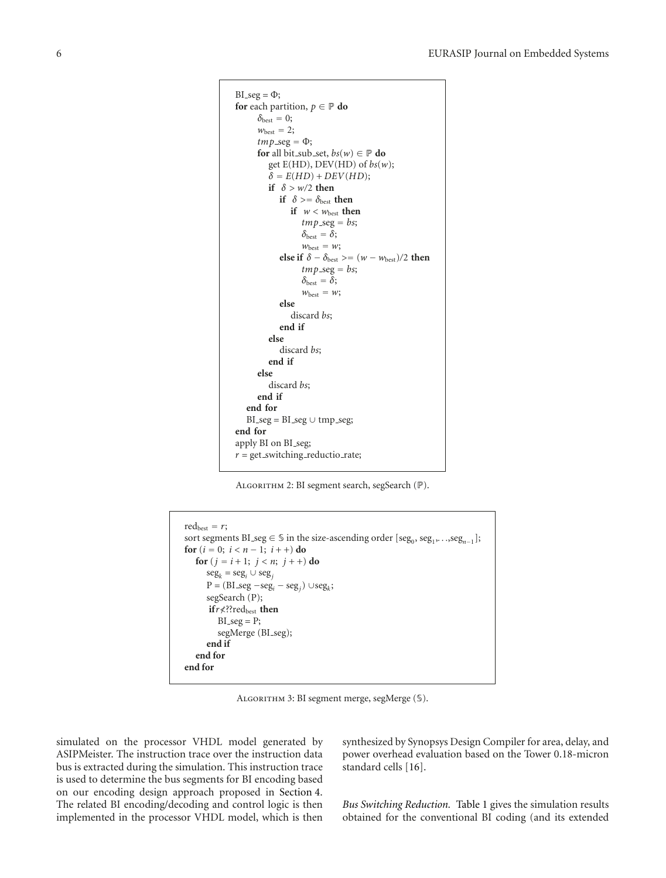```
BI_seg = \Phi;for each partition, p \in \mathbb{P} do
       \delta_{\text{best}} = 0;w_{best} = 2;
       tmp\_seg = \Phi;for all bit_sub_set, bs(w) \in \mathbb{P} do
           get E(HD), DEV(HD) of bs(w);
           \delta = E(HD) + DEV(HD);
           if δ > w/2 then
              if \delta >= \delta<sub>best</sub> then
                  if w < w_{\text{best}} then
                     tmp\_seg = bs;\delta_{\text{best}} = \delta;
                     w_{best} = w;else if \delta - \delta_{\text{best}} >= (w - w_{\text{best}})/2 then
                     tmp\_seg = bs;\delta_{\text{best}} = \delta;
                     w_{\text{best}} = w;else
                  discard bs;
              end if
           else
              discard bs;
           end if
       else
           discard bs;
       end if
   end for
   BI_seg = BI_seg \cup tmp_seg;end for
apply BI on BI_seg;
r = get_switching_reductio_rate;
```
ALGORITHM 2: BI segment search, segSearch (Р).

```
red_{best} = r;
sort segments BI_seg ∈ § in the size-ascending order [seg_0, seg_1, \ldots, seg_{n-1}];
for (i = 0; i < n - 1; i++) do
   for (j = i + 1; j < n; j + +) do
      segk = segi ∪ segj
      P = (BI_seg - seg_i - seg_j)∪seg<sub>k</sub>;
      segSearch (P);
      ifr \nless??red<sub>best</sub> then
         BI_seg = P;segMerge (BI_seg);
      end if
   end for
end for
```
ALGORITHM 3: BI segment merge, segMerge (S).

simulated on the processor VHDL model generated by ASIPMeister. The instruction trace over the instruction data bus is extracted during the simulation. This instruction trace is used to determine the bus segments for BI encoding based on our encoding design approach proposed in Section 4. The related BI encoding/decoding and control logic is then implemented in the processor VHDL model, which is then

synthesized by Synopsys Design Compiler for area, delay, and power overhead evaluation based on the Tower 0.18-micron standard cells [16].

*Bus Switching Reduction.* Table 1 gives the simulation results obtained for the conventional BI coding (and its extended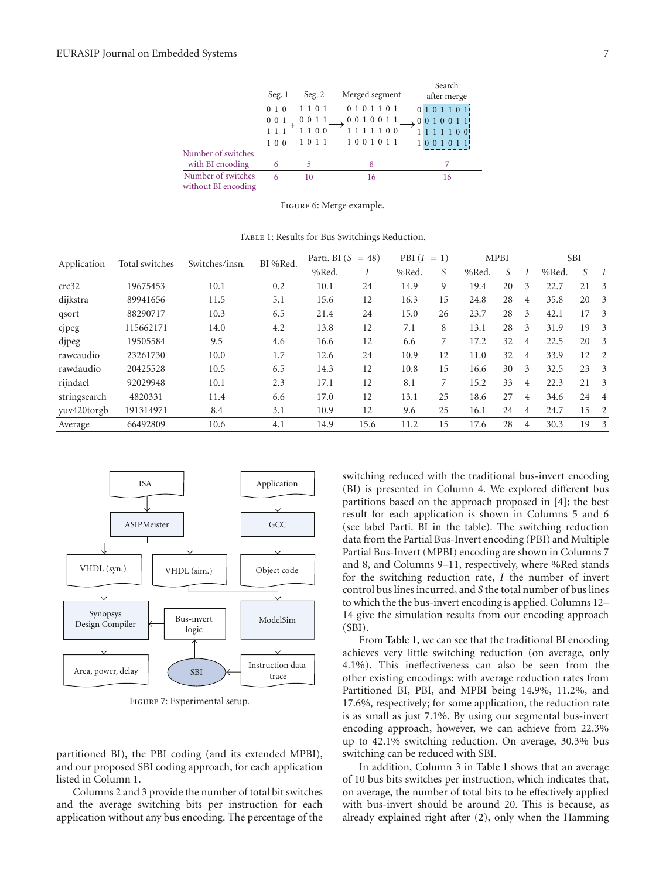|                                           | Seg. 1     | Seg. 2                  | Merged segment                            | Search<br>after merge                            |
|-------------------------------------------|------------|-------------------------|-------------------------------------------|--------------------------------------------------|
|                                           | 010<br>001 | 1101<br>0 0 1 1<br>1100 | 0 1 0 1 1 0 1<br>0 0 1 0 0 1 1<br>1111100 | 0!101101!<br>$\sqrt{0.010011}$<br>1!1 1 1 1 0 0! |
|                                           | 100        | 1011                    | 1001011                                   | 1'00<br>$\bf{0}$                                 |
| Number of switches                        |            |                         |                                           |                                                  |
| with BI encoding                          | 6          | 5                       | 8                                         |                                                  |
| Number of switches<br>without BI encoding | 6          | 10                      | 16                                        | 16                                               |

Figure 6: Merge example.

Table 1: Results for Bus Switchings Reduction.

| Application  | Total switches | Switches/insn. | BI %Red. | Parti. BI (S)<br>$= 48$ |      | $PBI$ ( <i>I</i><br>$= 1$ |    | <b>MPBI</b> |    |   | <b>SBI</b> |    |                           |
|--------------|----------------|----------------|----------|-------------------------|------|---------------------------|----|-------------|----|---|------------|----|---------------------------|
|              |                |                |          | %Red.                   |      | %Red.                     | S  | %Red.       | S  |   | %Red.      | S  |                           |
| crc32        | 19675453       | 10.1           | 0.2      | 10.1                    | 24   | 14.9                      | 9  | 19.4        | 20 | 3 | 22.7       | 21 | $\overline{\mathbf{3}}$   |
| dijkstra     | 89941656       | 11.5           | 5.1      | 15.6                    | 12   | 16.3                      | 15 | 24.8        | 28 | 4 | 35.8       | 20 | $\overline{\phantom{a}}$  |
| qsort        | 88290717       | 10.3           | 6.5      | 21.4                    | 24   | 15.0                      | 26 | 23.7        | 28 | 3 | 42.1       | 17 | $\overline{\mathbf{3}}$   |
| cjpeg        | 115662171      | 14.0           | 4.2      | 13.8                    | 12   | 7.1                       | 8  | 13.1        | 28 | 3 | 31.9       | 19 | 3                         |
| djpeg        | 19505584       | 9.5            | 4.6      | 16.6                    | 12   | 6.6                       | 7  | 17.2        | 32 | 4 | 22.5       | 20 | $\overline{\phantom{a}3}$ |
| rawcaudio    | 23261730       | 10.0           | 1.7      | 12.6                    | 24   | 10.9                      | 12 | 11.0        | 32 | 4 | 33.9       | 12 | $\overline{2}$            |
| rawdaudio    | 20425528       | 10.5           | 6.5      | 14.3                    | 12   | 10.8                      | 15 | 16.6        | 30 | 3 | 32.5       | 23 | $\overline{\phantom{a}}$  |
| rijndael     | 92029948       | 10.1           | 2.3      | 17.1                    | 12   | 8.1                       | 7  | 15.2        | 33 | 4 | 22.3       | 21 | $\overline{\phantom{a}3}$ |
| stringsearch | 4820331        | 11.4           | 6.6      | 17.0                    | 12   | 13.1                      | 25 | 18.6        | 27 | 4 | 34.6       | 24 | 4                         |
| yuv420torgb  | 191314971      | 8.4            | 3.1      | 10.9                    | 12   | 9.6                       | 25 | 16.1        | 24 | 4 | 24.7       | 15 | $\overline{2}$            |
| Average      | 66492809       | 10.6           | 4.1      | 14.9                    | 15.6 | 11.2                      | 15 | 17.6        | 28 | 4 | 30.3       | 19 | 3                         |



Figure 7: Experimental setup.

partitioned BI), the PBI coding (and its extended MPBI), and our proposed SBI coding approach, for each application listed in Column 1.

Columns 2 and 3 provide the number of total bit switches and the average switching bits per instruction for each application without any bus encoding. The percentage of the

switching reduced with the traditional bus-invert encoding (BI) is presented in Column 4. We explored different bus partitions based on the approach proposed in [4]; the best result for each application is shown in Columns 5 and 6 (see label Parti. BI in the table). The switching reduction data from the Partial Bus-Invert encoding (PBI) and Multiple Partial Bus-Invert (MPBI) encoding are shown in Columns 7 and 8, and Columns 9–11, respectively, where %Red stands for the switching reduction rate, *I* the number of invert control bus lines incurred, and *S* the total number of bus lines to which the the bus-invert encoding is applied. Columns 12– 14 give the simulation results from our encoding approach (SBI).

From Table 1, we can see that the traditional BI encoding achieves very little switching reduction (on average, only 4.1%). This ineffectiveness can also be seen from the other existing encodings: with average reduction rates from Partitioned BI, PBI, and MPBI being 14.9%, 11.2%, and 17.6%, respectively; for some application, the reduction rate is as small as just 7.1%. By using our segmental bus-invert encoding approach, however, we can achieve from 22.3% up to 42.1% switching reduction. On average, 30.3% bus switching can be reduced with SBI.

In addition, Column 3 in Table 1 shows that an average of 10 bus bits switches per instruction, which indicates that, on average, the number of total bits to be effectively applied with bus-invert should be around 20. This is because, as already explained right after (2), only when the Hamming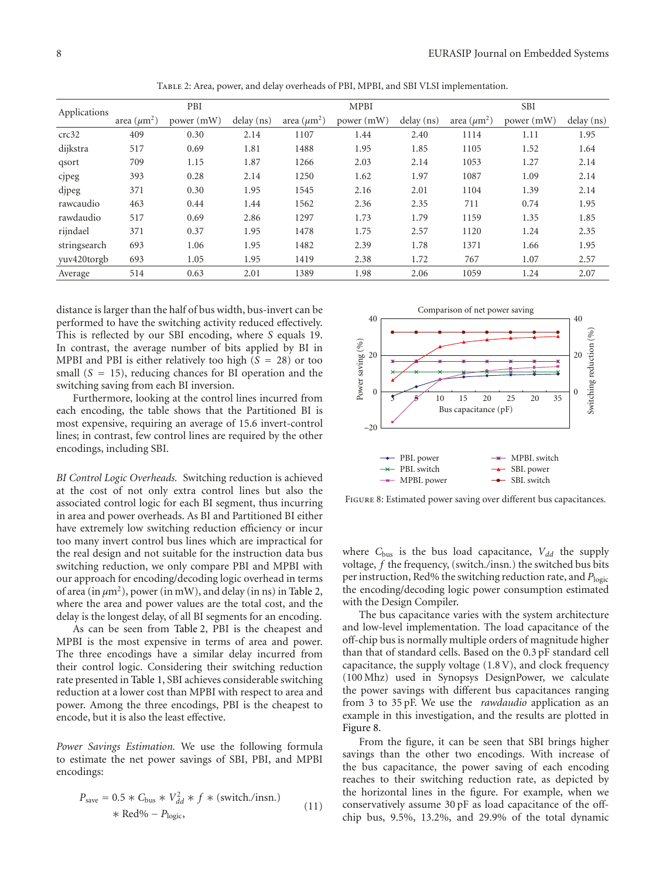| Applications | PBI              |            |            |                  | <b>MPBI</b> |            | <b>SBI</b>       |            |            |  |
|--------------|------------------|------------|------------|------------------|-------------|------------|------------------|------------|------------|--|
|              | area $(\mu m^2)$ | power (mW) | delay (ns) | area $(\mu m^2)$ | power (mW)  | delay (ns) | area $(\mu m^2)$ | power (mW) | delay (ns) |  |
| crc32        | 409              | 0.30       | 2.14       | 1107             | 1.44        | 2.40       | 1114             | 1.11       | 1.95       |  |
| dijkstra     | 517              | 0.69       | 1.81       | 1488             | 1.95        | 1.85       | 1105             | 1.52       | 1.64       |  |
| qsort        | 709              | 1.15       | 1.87       | 1266             | 2.03        | 2.14       | 1053             | 1.27       | 2.14       |  |
| cjpeg        | 393              | 0.28       | 2.14       | 1250             | 1.62        | 1.97       | 1087             | 1.09       | 2.14       |  |
| djpeg        | 371              | 0.30       | 1.95       | 1545             | 2.16        | 2.01       | 1104             | 1.39       | 2.14       |  |
| rawcaudio    | 463              | 0.44       | 1.44       | 1562             | 2.36        | 2.35       | 711              | 0.74       | 1.95       |  |
| rawdaudio    | 517              | 0.69       | 2.86       | 1297             | 1.73        | 1.79       | 1159             | 1.35       | 1.85       |  |
| rijndael     | 371              | 0.37       | 1.95       | 1478             | 1.75        | 2.57       | 1120             | 1.24       | 2.35       |  |
| stringsearch | 693              | 1.06       | 1.95       | 1482             | 2.39        | 1.78       | 1371             | 1.66       | 1.95       |  |
| yuv420torgb  | 693              | 1.05       | 1.95       | 1419             | 2.38        | 1.72       | 767              | 1.07       | 2.57       |  |
| Average      | 514              | 0.63       | 2.01       | 1389             | 1.98        | 2.06       | 1059             | 1.24       | 2.07       |  |

Table 2: Area, power, and delay overheads of PBI, MPBI, and SBI VLSI implementation.

distance is larger than the half of bus width, bus-invert can be performed to have the switching activity reduced effectively. This is reflected by our SBI encoding, where *S* equals 19. In contrast, the average number of bits applied by BI in MPBI and PBI is either relatively too high (*<sup>S</sup>* <sup>=</sup> 28) or too small  $(S = 15)$ , reducing chances for BI operation and the switching saving from each BI inversion.

Furthermore, looking at the control lines incurred from each encoding, the table shows that the Partitioned BI is most expensive, requiring an average of 15.6 invert-control lines; in contrast, few control lines are required by the other encodings, including SBI.

*BI Control Logic Overheads.* Switching reduction is achieved at the cost of not only extra control lines but also the associated control logic for each BI segment, thus incurring in area and power overheads. As BI and Partitioned BI either have extremely low switching reduction efficiency or incur too many invert control bus lines which are impractical for the real design and not suitable for the instruction data bus switching reduction, we only compare PBI and MPBI with our approach for encoding/decoding logic overhead in terms of area (in  $\mu$ m<sup>2</sup>), power (in mW), and delay (in ns) in Table 2, where the area and power values are the total cost, and the delay is the longest delay, of all BI segments for an encoding.

As can be seen from Table 2, PBI is the cheapest and MPBI is the most expensive in terms of area and power. The three encodings have a similar delay incurred from their control logic. Considering their switching reduction rate presented in Table 1, SBI achieves considerable switching reduction at a lower cost than MPBI with respect to area and power. Among the three encodings, PBI is the cheapest to encode, but it is also the least effective.

*Power Savings Estimation.* We use the following formula to estimate the net power savings of SBI, PBI, and MPBI encodings:

$$
P_{\text{save}} = 0.5 \times C_{\text{bus}} \times V_{dd}^2 \times f \times \text{(switch./insn.)}
$$
  
 
$$
\times \text{Red}\% - P_{\text{logic}}, \tag{11}
$$



Figure 8: Estimated power saving over different bus capacitances.

where  $C_{bus}$  is the bus load capacitance,  $V_{dd}$  the supply voltage, *f* the frequency, (switch*./*insn*.*) the switched bus bits per instruction, Red% the switching reduction rate, and *P*logic the encoding/decoding logic power consumption estimated with the Design Compiler.

The bus capacitance varies with the system architecture and low-level implementation. The load capacitance of the off-chip bus is normally multiple orders of magnitude higher than that of standard cells. Based on the 0.3 pF standard cell capacitance, the supply voltage (1.8 V), and clock frequency (100 Mhz) used in Synopsys DesignPower, we calculate the power savings with different bus capacitances ranging from 3 to 35 pF. We use the *rawdaudio* application as an example in this investigation, and the results are plotted in Figure 8.

From the figure, it can be seen that SBI brings higher savings than the other two encodings. With increase of the bus capacitance, the power saving of each encoding reaches to their switching reduction rate, as depicted by the horizontal lines in the figure. For example, when we conservatively assume 30 pF as load capacitance of the offchip bus, 9.5%, 13.2%, and 29.9% of the total dynamic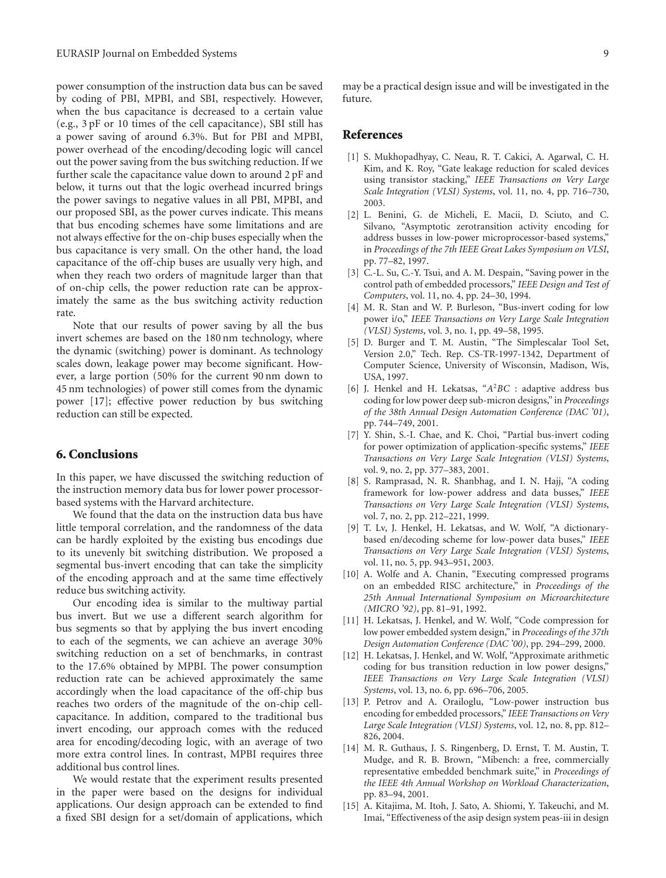power consumption of the instruction data bus can be saved by coding of PBI, MPBI, and SBI, respectively. However, when the bus capacitance is decreased to a certain value (e.g., 3 pF or 10 times of the cell capacitance), SBI still has a power saving of around 6.3%. But for PBI and MPBI, power overhead of the encoding/decoding logic will cancel out the power saving from the bus switching reduction. If we further scale the capacitance value down to around 2 pF and below, it turns out that the logic overhead incurred brings the power savings to negative values in all PBI, MPBI, and our proposed SBI, as the power curves indicate. This means that bus encoding schemes have some limitations and are not always effective for the on-chip buses especially when the bus capacitance is very small. On the other hand, the load capacitance of the off-chip buses are usually very high, and when they reach two orders of magnitude larger than that of on-chip cells, the power reduction rate can be approximately the same as the bus switching activity reduction rate.

Note that our results of power saving by all the bus invert schemes are based on the 180 nm technology, where the dynamic (switching) power is dominant. As technology scales down, leakage power may become significant. However, a large portion (50% for the current 90 nm down to 45 nm technologies) of power still comes from the dynamic power [17]; effective power reduction by bus switching reduction can still be expected.

# **6. Conclusions**

In this paper, we have discussed the switching reduction of the instruction memory data bus for lower power processorbased systems with the Harvard architecture.

We found that the data on the instruction data bus have little temporal correlation, and the randomness of the data can be hardly exploited by the existing bus encodings due to its unevenly bit switching distribution. We proposed a segmental bus-invert encoding that can take the simplicity of the encoding approach and at the same time effectively reduce bus switching activity.

Our encoding idea is similar to the multiway partial bus invert. But we use a different search algorithm for bus segments so that by applying the bus invert encoding to each of the segments, we can achieve an average 30% switching reduction on a set of benchmarks, in contrast to the 17.6% obtained by MPBI. The power consumption reduction rate can be achieved approximately the same accordingly when the load capacitance of the off-chip bus reaches two orders of the magnitude of the on-chip cellcapacitance. In addition, compared to the traditional bus invert encoding, our approach comes with the reduced area for encoding/decoding logic, with an average of two more extra control lines. In contrast, MPBI requires three additional bus control lines.

We would restate that the experiment results presented in the paper were based on the designs for individual applications. Our design approach can be extended to find a fixed SBI design for a set/domain of applications, which

may be a practical design issue and will be investigated in the future.

### **References**

- [1] S. Mukhopadhyay, C. Neau, R. T. Cakici, A. Agarwal, C. H. Kim, and K. Roy, "Gate leakage reduction for scaled devices using transistor stacking," *IEEE Transactions on Very Large Scale Integration (VLSI) Systems*, vol. 11, no. 4, pp. 716–730, 2003.
- [2] L. Benini, G. de Micheli, E. Macii, D. Sciuto, and C. Silvano, "Asymptotic zerotransition activity encoding for address busses in low-power microprocessor-based systems," in *Proceedings of the 7th IEEE Great Lakes Symposium on VLSI*, pp. 77–82, 1997.
- [3] C.-L. Su, C.-Y. Tsui, and A. M. Despain, "Saving power in the control path of embedded processors," *IEEE Design and Test of Computers*, vol. 11, no. 4, pp. 24–30, 1994.
- [4] M. R. Stan and W. P. Burleson, "Bus-invert coding for low power i/o," *IEEE Transactions on Very Large Scale Integration (VLSI) Systems*, vol. 3, no. 1, pp. 49–58, 1995.
- [5] D. Burger and T. M. Austin, "The Simplescalar Tool Set, Version 2.0," Tech. Rep. CS-TR-1997-1342, Department of Computer Science, University of Wisconsin, Madison, Wis, USA, 1997.
- [6] J. Henkel and H. Lekatsas, "*A*2*BC* : adaptive address bus coding for low power deep sub-micron designs," in *Proceedings of the 38th Annual Design Automation Conference (DAC '01)*, pp. 744–749, 2001.
- [7] Y. Shin, S.-I. Chae, and K. Choi, "Partial bus-invert coding for power optimization of application-specific systems," *IEEE Transactions on Very Large Scale Integration (VLSI) Systems*, vol. 9, no. 2, pp. 377–383, 2001.
- [8] S. Ramprasad, N. R. Shanbhag, and I. N. Hajj, "A coding framework for low-power address and data busses," *IEEE Transactions on Very Large Scale Integration (VLSI) Systems*, vol. 7, no. 2, pp. 212–221, 1999.
- [9] T. Lv, J. Henkel, H. Lekatsas, and W. Wolf, "A dictionarybased en/decoding scheme for low-power data buses," *IEEE Transactions on Very Large Scale Integration (VLSI) Systems*, vol. 11, no. 5, pp. 943–951, 2003.
- [10] A. Wolfe and A. Chanin, "Executing compressed programs on an embedded RISC architecture," in *Proceedings of the 25th Annual International Symposium on Microarchitecture (MICRO '92)*, pp. 81–91, 1992.
- [11] H. Lekatsas, J. Henkel, and W. Wolf, "Code compression for low power embedded system design," in *Proceedings of the 37th Design Automation Conference (DAC '00)*, pp. 294–299, 2000.
- [12] H. Lekatsas, J. Henkel, and W. Wolf, "Approximate arithmetic coding for bus transition reduction in low power designs," *IEEE Transactions on Very Large Scale Integration (VLSI) Systems*, vol. 13, no. 6, pp. 696–706, 2005.
- [13] P. Petrov and A. Orailoglu, "Low-power instruction bus encoding for embedded processors," *IEEE Transactions on Very Large Scale Integration (VLSI) Systems*, vol. 12, no. 8, pp. 812– 826, 2004.
- [14] M. R. Guthaus, J. S. Ringenberg, D. Ernst, T. M. Austin, T. Mudge, and R. B. Brown, "Mibench: a free, commercially representative embedded benchmark suite," in *Proceedings of the IEEE 4th Annual Workshop on Workload Characterization*, pp. 83–94, 2001.
- [15] A. Kitajima, M. Itoh, J. Sato, A. Shiomi, Y. Takeuchi, and M. Imai, "Effectiveness of the asip design system peas-iii in design